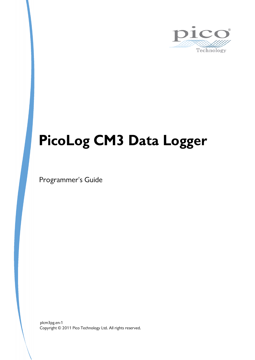

# **PicoLog CM3 Data Logger**

Programmer's Guide

Copyright © 2011 Pico Technology Ltd. All rights reserved. plcm3pg.en-1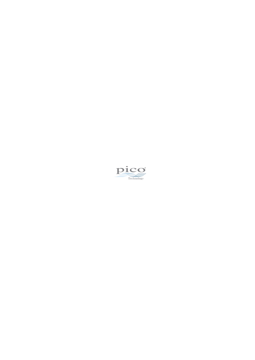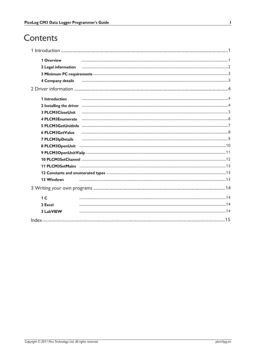## Contents

| 1 Overview              |                                                                                                                 |  |
|-------------------------|-----------------------------------------------------------------------------------------------------------------|--|
| 2 Legal information     |                                                                                                                 |  |
|                         |                                                                                                                 |  |
| 4 Company details       |                                                                                                                 |  |
|                         |                                                                                                                 |  |
| 1 Introduction          |                                                                                                                 |  |
|                         | 2 Installing the driver manufacture continuum contract and the driver of the contract of the driver manufacture |  |
| 3 PLCM3CloseUnit        |                                                                                                                 |  |
| <b>4 PLCM3Enumerate</b> |                                                                                                                 |  |
|                         |                                                                                                                 |  |
| <b>6 PLCM3GetValue</b>  |                                                                                                                 |  |
| <b>7 PLCM3IpDetails</b> |                                                                                                                 |  |
|                         |                                                                                                                 |  |
|                         |                                                                                                                 |  |
|                         |                                                                                                                 |  |
|                         |                                                                                                                 |  |
|                         |                                                                                                                 |  |
| 13 Windows              |                                                                                                                 |  |
|                         |                                                                                                                 |  |
| 1 <sub>C</sub>          |                                                                                                                 |  |
| 2 Excel                 |                                                                                                                 |  |
| 3 LabVIEW               |                                                                                                                 |  |
|                         |                                                                                                                 |  |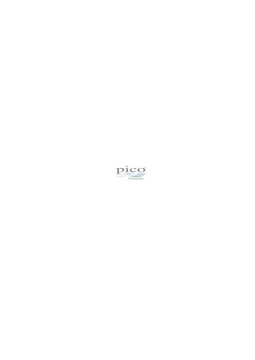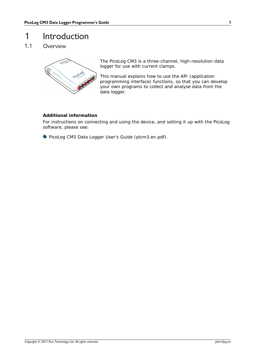### <span id="page-4-0"></span>1 Introduction

1.1 Overview



The PicoLog CM3 is a three-channel, high-resolution data logger for use with current clamps.

This manual explains how to use the API (application programming interface) functions, so that you can develop your own programs to collect and analyse data from the data logger.

#### **Additional information**

For instructions on connecting and using the device, and setting it up with the PicoLog software, please see:

**PicoLog CM3 Data Logger User's Guide (plcm3.en.pdf).**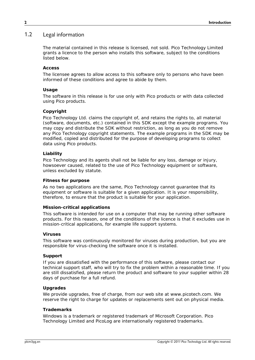#### <span id="page-5-0"></span>1.2 Legal information

The material contained in this release is licensed, not sold. Pico Technology Limited grants a licence to the person who installs this software, subject to the conditions listed below.

#### **Access**

The licensee agrees to allow access to this software only to persons who have been informed of these conditions and agree to abide by them.

#### **Usage**

The software in this release is for use only with Pico products or with data collected using Pico products.

#### **Copyright**

Pico Technology Ltd. claims the copyright of, and retains the rights to, all material (software, documents, etc.) contained in this SDK except the example programs. You may copy and distribute the SDK without restriction, as long as you do not remove any Pico Technology copyright statements. The example programs in the SDK may be modified, copied and distributed for the purpose of developing programs to collect data using Pico products.

#### **Liability**

Pico Technology and its agents shall not be liable for any loss, damage or injury, howsoever caused, related to the use of Pico Technology equipment or software, unless excluded by statute.

#### **Fitness for purpose**

As no two applications are the same, Pico Technology cannot guarantee that its equipment or software is suitable for a given application. It is your responsibility, therefore, to ensure that the product is suitable for your application.

#### **Mission-critical applications**

This software is intended for use on a computer that may be running other software products. For this reason, one of the conditions of the licence isthat it excludes use in mission-critical applications, for example life support systems.

#### **Viruses**

This software was continuously monitored for viruses during production, but you are responsible for virus-checking the software once it is installed.

#### **Support**

If you are dissatisfied with the performance of this software, please contact our technical support staff, who will try to fix the problem within a reasonable time. If you are still dissatisfied, please return the product and software to your supplier within 28 days of purchase for a full refund.

#### **Upgrades**

We provide upgrades, free of charge, from our web site at www.picotech.com. We reserve the right to charge for updates or replacements sent out on physical media.

#### **Trademarks**

Windows is a trademark or registered trademark of Microsoft Corporation. Pico Technology Limited and PicoLog are internationally registered trademarks.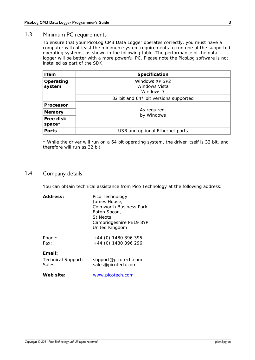#### <span id="page-6-0"></span>1.3 Minimum PC requirements

To ensure that your PicoLog CM3 Data Logger operates correctly, you must have a computer with at least the minimum system requirements to run one of the supported operating systems, as shown in the following table. The performance of the data logger will be better with a more powerful PC. Please note the PicoLog software is not installed as part of the SDK.

| I tem               | Specification                                |  |  |  |
|---------------------|----------------------------------------------|--|--|--|
| Operating<br>system | Windows XP SP2<br>Windows Vista<br>Windows 7 |  |  |  |
|                     | 32 bit and 64* bit versions supported        |  |  |  |
| Processor           |                                              |  |  |  |
| Memory              | As required<br>by Windows                    |  |  |  |
| Free disk<br>space* |                                              |  |  |  |
| Ports               | USB and optional Ethernet ports              |  |  |  |

\* While the driver will run on a 64 bit operating system, the driver itself is 32 bit, and therefore will run as 32 bit.

#### <span id="page-6-1"></span>1.4 Company details

You can obtain technical assistance from Pico Technology at the following address:

| Address:                                      | Pico Technology<br>James House.<br>Colmworth Business Park,<br>Eaton Socon,<br>St Neots,<br>Cambridgeshire PE19 8YP<br>United Kingdom |
|-----------------------------------------------|---------------------------------------------------------------------------------------------------------------------------------------|
| Phone:<br>Fax:                                | $+44$ (0) 1480 396 395<br>$+44$ (0) 1480 396 296                                                                                      |
| Email:<br><b>Technical Support:</b><br>Sales: | support@picotech.com<br>sales@picotech.com                                                                                            |
| Web site:                                     | www.picotech.com                                                                                                                      |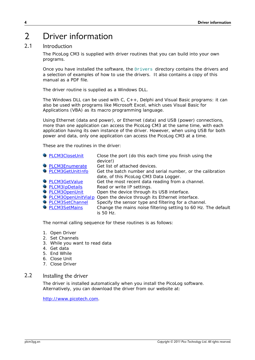# <span id="page-7-0"></span>2 Driver information

#### 2.1 Introduction

The PicoLog CM3 is supplied with driver routines that you can build into your own programs.

Once you have installed the software, the Drivers directory contains the drivers and a selection of examples of how to use the drivers. It also contains a copy of this manual as a PDF file.

The driver routine is supplied as a Windows DLL.

The Windows DLL can be used with C,  $C_{++}$ , Delphi and Visual Basic programs: it can also be used with programs like Microsoft Excel, which uses Visual Basic for Applications (VBA) as its macro programming language.

Using Ethernet (data and power), or Ethernet (data) and USB (power) connections, more than one application can access the PicoLog CM3 at the same time, with each application having its own instance of the driver. However, when using USB for both power and data, only one application can access the PicoLog CM3 at a time.

These are the routines in the driver:

| <b>O PLCM3CloseUnit</b>   | Close the port (do this each time you finish using the                                               |
|---------------------------|------------------------------------------------------------------------------------------------------|
| <b>O</b> PLCM3Enumerate   | device!)<br>Get list of attached devices.                                                            |
| <b>• PLCM3GetUnitInfo</b> | Get the batch number and serial number, or the calibration<br>date, of this PicoLog CM3 Data Logger. |
| <b>O</b> PLCM3GetValue    | Get the most recent data reading from a channel.                                                     |
| <b>O</b> PLCM3IpDetails   | Read or write IP settings.                                                                           |
| <b>• PLCM3OpenUnit</b>    | Open the device through its USB interface.                                                           |
|                           | PLCM3OpenUnitViaIp Open the device through its Ethernet interface.                                   |
| <b>O</b> PLCM3SetChannel  | Specify the sensor type and filtering for a channel.                                                 |
| <b>O</b> PLCM3SetMains    | Change the mains noise filtering setting to 60 Hz. The default<br>is 50 Hz.                          |
|                           |                                                                                                      |

The normal calling sequence for these routines is as follows:

- 1. Open Driver
- 2. Set Channels
- 3. While you want to read data
- 4. Get data
- 5. End While
- 6. Close Unit
- 7. Close Driver

#### <span id="page-7-1"></span>2.2 Installing the driver

The driver is installed automatically when you install the PicoLog software. Alternatively, you can download the driver from our website at:

[http://www.picotech.com.](http://www.picotech.com)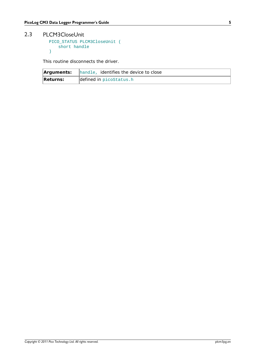#### <span id="page-8-0"></span>2.3 PLCM3CloseUnit

```
PICO_STATUS PLCM3CloseUnit (
  short handle
)
```
This routine disconnects the driver.

|          | $Arg$ uments: $[handle, identities the device to close]$ |
|----------|----------------------------------------------------------|
| Returns: | defined in picoStatus.h                                  |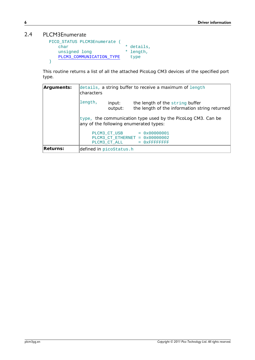#### <span id="page-9-0"></span>2.4 PLCM3Enumerate

```
PICO_STATUS PLCM3Enumerate (
  char * details,
  unsigned long * length,
  PLCM3_COMMUNICATION_TYPE type
)
```
This routine returns a list of all the attached PicoLog CM3 devices of the specified port type.

| Arguments: | details, a string buffer to receive a maximum of length<br><b>Icharacters</b> |                              |                                                                                                             |
|------------|-------------------------------------------------------------------------------|------------------------------|-------------------------------------------------------------------------------------------------------------|
|            | length,                                                                       | input:<br>output:            | the length of the string buffer<br>the length of the information string returned                            |
|            |                                                                               |                              | $ type $ , the communication type used by the PicoLog CM3. Can be<br>any of the following enumerated types: |
|            |                                                                               | PLCM3 CT USB<br>PLCM3 CT ALL | $= 0x00000001$<br>PLCM3_CT_ETHERNET = $0x00000002$<br>$=$ $0 \times$ FFFFFFFFF                              |
| Returns:   |                                                                               | defined in picoStatus.h      |                                                                                                             |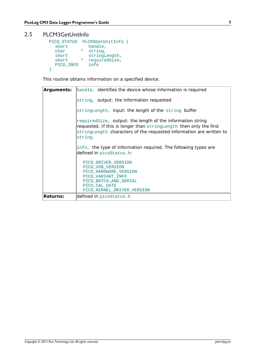#### <span id="page-10-0"></span>2.5 PLCM3GetUnitInfo

```
PICO_STATUS PLCM3GetUnitInfo (
 short handle,
 char * string,
 short stringLength,
 short * requiredSize,
 PICO_INFO info
)
```
This routine obtains information on a specified device.

| Arguments: | handle, identifies the device whose information is required                                                                                                                                                         |
|------------|---------------------------------------------------------------------------------------------------------------------------------------------------------------------------------------------------------------------|
|            | string, output: the information requested                                                                                                                                                                           |
|            | stringLength, input: the length of the string buffer                                                                                                                                                                |
|            | required Size, output: the length of the information string<br>requested. If this is longer than stringLength then only the first<br>stringLength characters of the requested information are written to<br>string. |
|            | $\vert$ info, the type of information required. The following types are<br>defined in picoStatus.h:                                                                                                                 |
|            | PICO DRIVER VERSION<br>PICO USB VERSION<br>PICO HARDWARE VERSION<br>PICO VARIANT INFO<br>PICO BATCH AND SERIAL<br>PICO CAL DATE<br>PICO KERNEL DRIVER VERSION                                                       |
| Returns:   | defined in picoStatus.h                                                                                                                                                                                             |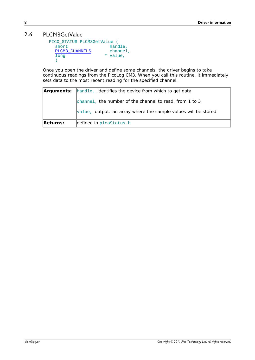#### <span id="page-11-0"></span>2.6 PLCM3GetValue



Once you open the driver and define some channels, the driver begins to take continuous readings from the PicoLog CM3. When you call this routine, it immediately sets data to the most recent reading for the specified channel.

| Arguments: | handle, identifies the device from which to get data           |  |
|------------|----------------------------------------------------------------|--|
|            | channel, the number of the channel to read, from 1 to 3        |  |
|            | value, output: an array where the sample values will be stored |  |
| Returns:   | defined in picoStatus.h                                        |  |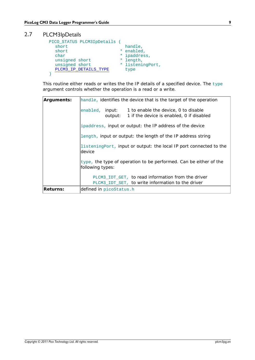#### <span id="page-12-0"></span>2.7 PLCM3IpDetails

```
PICO_STATUS PLCM3IpDetails (
  short handle,<br>short * enabled
  short * enabled,<br>
char * ipaddres
                             * ipaddress,<br>* length,
  unsigned short<br>unsigned short
                             * listeningPort,
  PLCM3_IP_DETAILS_TYPE type
)
```
This routine either reads or writes the the IP details of a specified device. The type argument controls whether the operation is a read or a write.

| Arguments:                                                                    | handle, identifies the device that is the target of the operation                                                  |  |
|-------------------------------------------------------------------------------|--------------------------------------------------------------------------------------------------------------------|--|
|                                                                               | 1 to enable the device, 0 to disable<br>input:<br>enabled,<br>1 if the device is enabled, 0 if disabled<br>output: |  |
|                                                                               | ipaddress, input or output: the IP address of the device                                                           |  |
|                                                                               | length, input or output: the length of the IP address string                                                       |  |
| listening Port, input or output: the local IP port connected to the<br>device |                                                                                                                    |  |
|                                                                               | $\pm$ type, the type of operation to be performed. Can be either of the<br>following types:                        |  |
|                                                                               | PLCM3_IDT_GET, to read information from the driver<br>PLCM3_IDT_SET, to write information to the driver            |  |
| Returns:                                                                      | defined in picoStatus.h                                                                                            |  |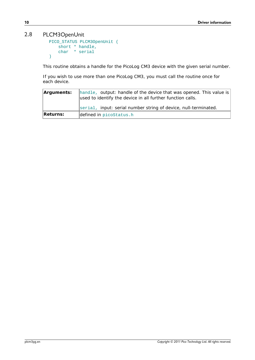#### <span id="page-13-0"></span>2.8 PLCM3OpenUnit

```
PICO_STATUS PLCM3OpenUnit (
  short * handle,
  char * serial
)
```
This routine obtains a handle for the PicoLog CM3 device with the given serial number.

If you wish to use more than one PicoLog CM3, you must call the routine once for each device.

| Arguments: | $\alpha$ handle, output: handle of the device that was opened. This value is<br>used to identify the device in all further function calls.<br>serial, input: serial number string of device, null-terminated. |  |
|------------|---------------------------------------------------------------------------------------------------------------------------------------------------------------------------------------------------------------|--|
| Returns:   | defined in picoStatus.h                                                                                                                                                                                       |  |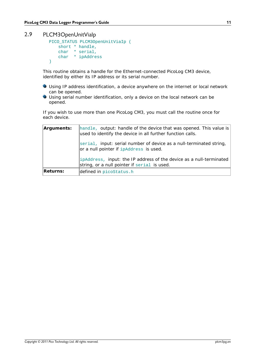#### <span id="page-14-0"></span>2.9 PLCM3OpenUnitViaIp

```
PICO_STATUS PLCM3OpenUnitViaIp (
  short * handle,
  char * serial,
  char * ipAddress
)
```
This routine obtains a handle for the Ethernet-connected PicoLog CM3 device, identified by either its IP address or its serial number.

- Using IP address identification, a device anywhere on the internet or local network can be opened.
- Using serial number identification, only a device on the local network can be opened.

If you wish to use more than one PicoLog CM3, you must call the routine once for each device.

| Arguments: | handle, output: handle of the device that was opened. This value is<br>used to identify the device in all further function calls. |  |
|------------|-----------------------------------------------------------------------------------------------------------------------------------|--|
|            | serial, input: serial number of device as a null-terminated string,<br>or a null pointer if ipAddress is used.                    |  |
|            | ipAddress, input: the IP address of the device as a null-terminated<br>string, or a null pointer if serial is used.               |  |
| Returns:   | defined in picoStatus.h                                                                                                           |  |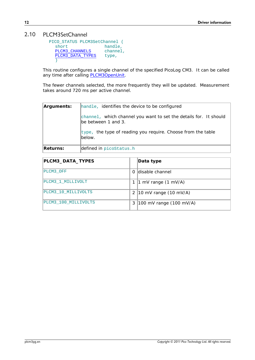#### <span id="page-15-0"></span>2.10 PLCM3SetChannel

| PICO STATUS PLCM3SetChannel ( |          |
|-------------------------------|----------|
| short                         | handle,  |
| PLCM3 CHANNELS                | channel, |
| PLCM3 DATA TYPES              | type,    |
|                               |          |

This routine configures a single channel of the specified PicoLog CM3. It can be called any time after calling **PLCM3OpenUnit**.

The fewer channels selected, the more frequently they will be updated. Measurement takes around 720 ms per active channel.

| Arguments: | handle, identifies the device to be configured                                                    |
|------------|---------------------------------------------------------------------------------------------------|
|            | $\alpha$ channel, which channel you want to set the details for. It should<br>be between 1 and 3. |
|            | type, the type of reading you require. Choose from the table<br>lbelow.                           |
| Returns:   | defined in picoStatus.h                                                                           |

| PLCM3_DATA_TYPES     |          | Data type                                  |
|----------------------|----------|--------------------------------------------|
| PLCM3 OFF            | $\Omega$ | Idisable channel                           |
| PLCM3 1 MILLIVOLT    |          | 1  1 mV range $(1 \text{ mV/A})$           |
| PLCM3 10 MILLIVOLTS  |          | 2   10 mV range $(10 \text{ mV/A})$        |
| PLCM3 100 MILLIVOLTS | 3        | $ 100 \text{ mV} \text{ range}$ (100 mV/A) |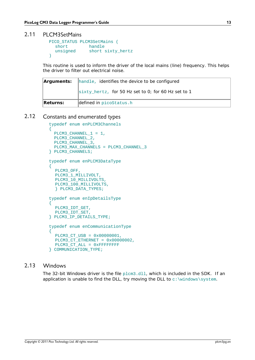#### <span id="page-16-0"></span>2.11 PLCM3SetMains

```
PICO_STATUS PLCM3SetMains (
 short handle
 unsigned short sixty hertz
)
```
This routine is used to inform the driver of the local mains (line) frequency. This helps the driver to filter out electrical noise.

| Arguments: | handle, identifies the device to be configured<br>$\vert$ sixty_hertz, for 50 Hz set to 0; for 60 Hz set to 1 |
|------------|---------------------------------------------------------------------------------------------------------------|
| Returns:   | defined in picoStatus.h                                                                                       |

#### <span id="page-16-1"></span>2.12 Constants and enumerated types

```
typedef enum enPLCM3Channels
\{PLCM3 CHANNEL 1 = 1,
 PLCM3_CHANNEL_2,
 PLCM3_CHANNEL_3,
 PLCM3_MAX_CHANNELS = PLCM3_CHANNEL 3
} PLCM3_CHANNELS;
typedef enum enPLCM3DataType
\{PLCM3_OFF,
  PLCM3_1_MILLIVOLT,
  PLCM3_10_MILLIVOLTS,
  PLCM3_100_MILLIVOLTS,
  } PLCM3_DATA_TYPES;
typedef enum enIpDetailsType
\{PLCM3_IDT_GET,
  PLCM3_IDT_SET,
} PLCM3_IP_DETAILS_TYPE;
typedef enum enCommunicationType
\{PLCM3_CT_USB = 0x00000001,
  PLCM3_CT_ETHERNET = 0x00000002,
  PLCM3_CT_ALL = 0xFFFFFFFF
} COMMUNICATION_TYPE;
```
#### <span id="page-16-2"></span>2.13 Windows

The 32-bit Windows driver is the file plcm3.dll, which is included in the SDK. If an application is unable to find the DLL, try moving the DLL to  $c:\wedge\text{mod} \text{system}.$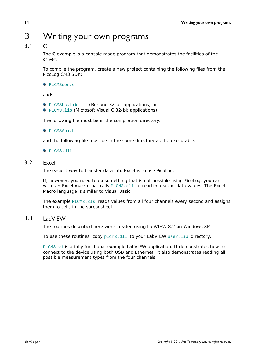# <span id="page-17-0"></span>3 Writing your own programs

#### 3.1 C

The C example is a console mode program that demonstrates the facilities of the driver.

To compile the program, create a new project containing the following files from the PicoLog CM3 SDK:

PLCM3con.c

and:

- PLCM3bc.lib (Borland 32-bit applications) or
- PLCM3.lib (Microsoft Visual C 32-bit applications)

The following file must be in the compilation directory:

#### PLCM3Api.h

and the following file must be in the same directory as the executable:

PLCM3.dll

#### <span id="page-17-1"></span>3.2 Excel

The easiest way to transfer data into Excel is to use PicoLog.

If, however, you need to do something that is not possible using PicoLog, you can write an Excel macro that calls PLCM3.dll to read in a set of data values. The Excel Macro language is similar to Visual Basic.

The example  $PLCM3.xls$  reads values from all four channels every second and assigns them to cells in the spreadsheet.

#### <span id="page-17-2"></span>3.3 LabVIEW

The routines described here were created using LabVIEW 8.2 on Windows XP.

To use these routines, copy plcm3.dll to your LabVIEW user.lib directory.

PLCM3.vi is a fully functional example LabVIEW application. It demonstrates how to connect to the device using both USB and Ethernet. It also demonstrates reading all possible measurement types from the four channels.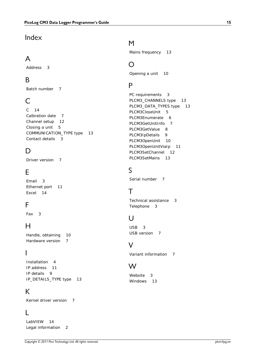### Index

### A

Address 3

### B<sub>a</sub> B<sub>a</sub> Barat and the set of the set of the set of the set of the set of the set of the set of the set of the set of the set of the set of the set of the set of the set of the set of the set of the set of the set of the

Batch number 7

### C<sub>2</sub> C<sub>2</sub>

C 14 Calbration date 7 Channel setup 12 Closing a unit 5 COMMUNICATION\_TYPE type 13 Contact details 3

### D<sub>a</sub>

Driver version 7

### E<sub>ra</sub> et al. (1995)

Email 3 Ethernet port 11 Excel 14

### F<sub>a</sub> Family 1999

Fax 3

### H

Handle, obtaining 10 Hardware version 7

### **I** and the second

Installation 4 IP address 11 IP details 9 IP\_DETAILS\_TYPE type 13

### K<sub>k</sub>

Kernel driver version 7

### L

LabVIEW 14 Legal information 2

### M

Mains frequency 13

### O<sub>cca</sub> and the contract of the contract of the contract of the contract of the contract of the contract of the contract of the contract of the contract of the contract of the contract of the contract of the contract of the

Opening a unit 10

### P<sub>art</sub>

PC requirements 3 PLCM3\_CHANNELS type 13 PLCM3\_DATA\_TYPES type 13 PLCM3CloseUnit 5 PLCM3Enumerate 6 PLCM3GetUnitInfo 7 PLCM3GetValue 8 PLCM3IpDetails 9 PLCM3OpenUnit 10 PLCM3OpenUnitViaIp 11 PLCM3SetChannel 12 PLCM3SetMains 13

### S<sub>s</sub> and the set of  $\sim$

Serial number 7

### T<sub>2</sub> T<sub>2</sub>

Technical assistance 3 Telephone 3

### U **U**

USB 3 USB version 7

### V

Variant information 7

### W<sub>y</sub> and the set of the set of the set of the set of the set of the set of the set of the set of the set of the set of the set of the set of the set of the set of the set of the set of the set of the set of the set of the

Website 3 Windows 13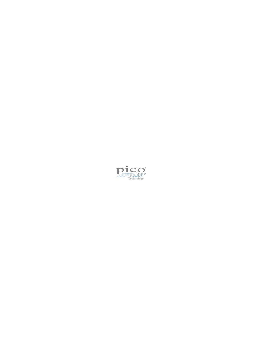